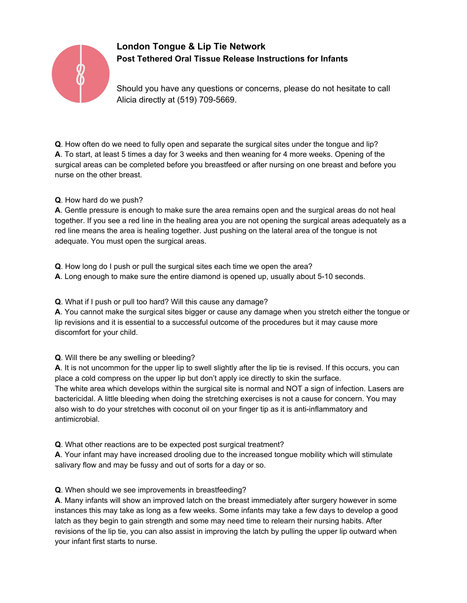

# **London Tongue & Lip Tie Network Post Tethered Oral Tissue Release Instructions for Infants**

Should you have any questions or concerns, please do not hesitate to call Alicia directly at (519) 709-5669.

**Q**. How often do we need to fully open and separate the surgical sites under the tongue and lip? **A**. To start, at least 5 times a day for 3 weeks and then weaning for 4 more weeks. Opening of the surgical areas can be completed before you breastfeed or after nursing on one breast and before you nurse on the other breast.

#### **Q**. How hard do we push?

**A**. Gentle pressure is enough to make sure the area remains open and the surgical areas do not heal together. If you see a red line in the healing area you are not opening the surgical areas adequately as a red line means the area is healing together. Just pushing on the lateral area of the tongue is not adequate. You must open the surgical areas.

**Q**. How long do I push or pull the surgical sites each time we open the area?

**A**. Long enough to make sure the entire diamond is opened up, usually about 5-10 seconds.

**Q**. What if I push or pull too hard? Will this cause any damage?

**A**. You cannot make the surgical sites bigger or cause any damage when you stretch either the tongue or lip revisions and it is essential to a successful outcome of the procedures but it may cause more discomfort for your child.

**Q**. Will there be any swelling or bleeding?

**A**. It is not uncommon for the upper lip to swell slightly after the lip tie is revised. If this occurs, you can place a cold compress on the upper lip but don't apply ice directly to skin the surface. The white area which develops within the surgical site is normal and NOT a sign of infection. Lasers are bactericidal. A little bleeding when doing the stretching exercises is not a cause for concern. You may also wish to do your stretches with coconut oil on your finger tip as it is anti-inflammatory and antimicrobial.

**Q**. What other reactions are to be expected post surgical treatment?

**A**. Your infant may have increased drooling due to the increased tongue mobility which will stimulate salivary flow and may be fussy and out of sorts for a day or so.

**Q**. When should we see improvements in breastfeeding?

**A**. Many infants will show an improved latch on the breast immediately after surgery however in some instances this may take as long as a few weeks. Some infants may take a few days to develop a good latch as they begin to gain strength and some may need time to relearn their nursing habits. After revisions of the lip tie, you can also assist in improving the latch by pulling the upper lip outward when your infant first starts to nurse.